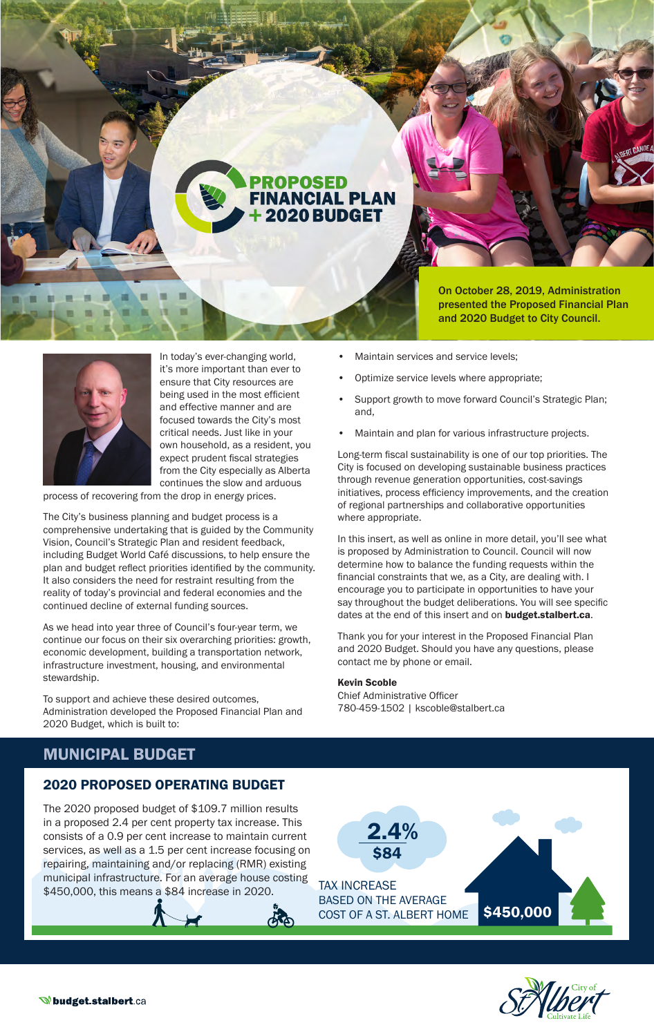

On October 28, 2019, Administration presented the Proposed Financial Plan and 2020 Budget to City Council.



In today's ever-changing world, it's more important than ever to ensure that City resources are being used in the most efficient and effective manner and are focused towards the City's most critical needs. Just like in your own household, as a resident, you expect prudent fiscal strategies from the City especially as Alberta continues the slow and arduous

process of recovering from the drop in energy prices.

The City's business planning and budget process is a comprehensive undertaking that is guided by the Community Vision, Council's Strategic Plan and resident feedback, including Budget World Café discussions, to help ensure the plan and budget reflect priorities identified by the community. It also considers the need for restraint resulting from the reality of today's provincial and federal economies and the continued decline of external funding sources.

As we head into year three of Council's four-year term, we continue our focus on their six overarching priorities: growth, economic development, building a transportation network, infrastructure investment, housing, and environmental stewardship.

To support and achieve these desired outcomes, Administration developed the Proposed Financial Plan and 2020 Budget, which is built to:

- Maintain services and service levels;
- Optimize service levels where appropriate;
- Support growth to move forward Council's Strategic Plan; and,
- Maintain and plan for various infrastructure projects.

Long-term fiscal sustainability is one of our top priorities. The City is focused on developing sustainable business practices through revenue generation opportunities, cost-savings initiatives, process efficiency improvements, and the creation of regional partnerships and collaborative opportunities where appropriate.

In this insert, as well as online in more detail, you'll see what is proposed by Administration to Council. Council will now determine how to balance the funding requests within the financial constraints that we, as a City, are dealing with. I encourage you to participate in opportunities to have your say throughout the budget deliberations. You will see specific dates at the end of this insert and on **budget.stalbert.ca**.

Thank you for your interest in the Proposed Financial Plan and 2020 Budget. Should you have any questions, please contact me by phone or email.

#### Kevin Scoble

Chief Administrative Officer 780-459-1502 | kscoble@stalbert.ca

## MUNICIPAL BUDGET

### 2020 PROPOSED OPERATING BUDGET

The 2020 proposed budget of \$109.7 million results in a proposed 2.4 per cent property tax increase. This consists of a 0.9 per cent increase to maintain current services, as well as a 1.5 per cent increase focusing on repairing, maintaining and/or replacing (RMR) existing municipal infrastructure. For an average house costing \$450,000, this means a \$84 increase in 2020.



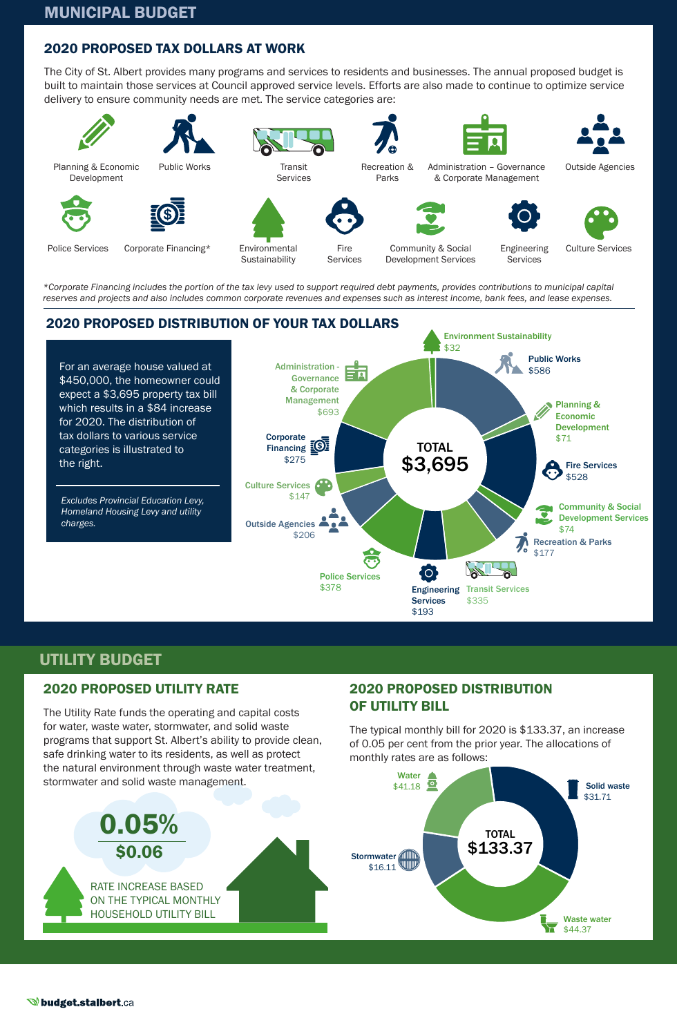## 2020 PROPOSED TAX DOLLARS AT WORK

The City of St. Albert provides many programs and services to residents and businesses. The annual proposed budget is built to maintain those services at Council approved service levels. Efforts are also made to continue to optimize service delivery to ensure community needs are met. The service categories are:



*\*Corporate Financing includes the portion of the tax levy used to support required debt payments, provides contributions to municipal capital reserves and projects and also includes common corporate revenues and expenses such as interest income, bank fees, and lease expenses.*



## UTILITY BUDGET

## 2020 PROPOSED UTILITY RATE

The Utility Rate funds the operating and capital costs for water, waste water, stormwater, and solid waste programs that support St. Albert's ability to provide clean, safe drinking water to its residents, as well as protect the natural environment through waste water treatment, stormwater and solid waste management.

## 2020 PROPOSED DISTRIBUTION OF UTILITY BILL

The typical monthly bill for 2020 is \$133.37, an increase of 0.05 per cent from the prior year. The allocations of monthly rates are as follows:

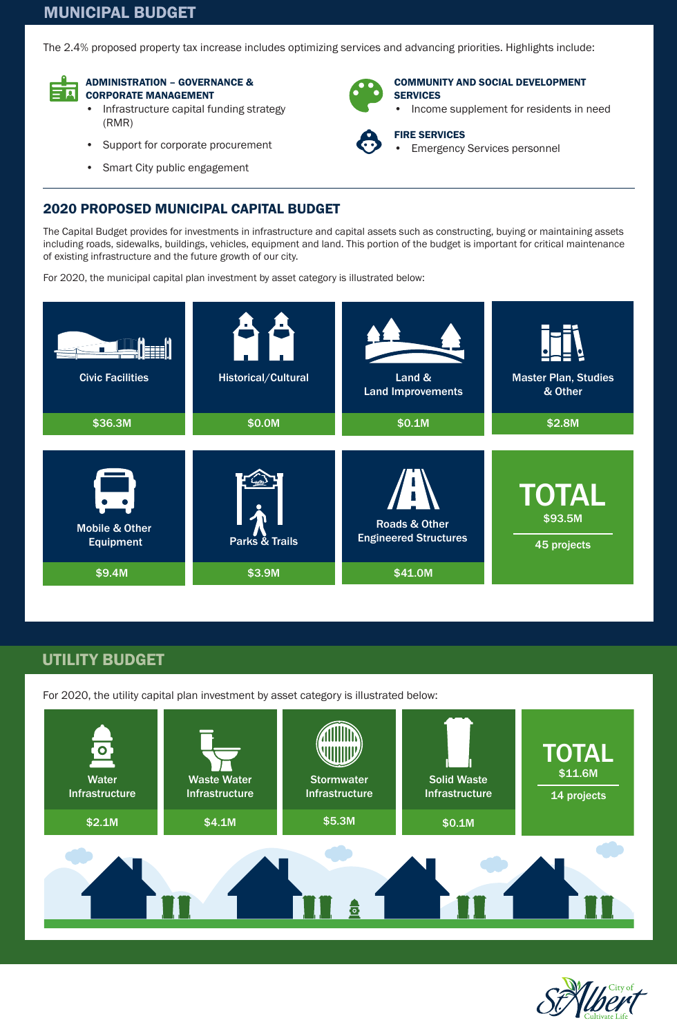# MUNICIPAL BUDGET

The 2.4% proposed property tax increase includes optimizing services and advancing priorities. Highlights include:



#### ADMINISTRATION – GOVERNANCE & CORPORATE MANAGEMENT

- Infrastructure capital funding strategy (RMR)
- Support for corporate procurement
- Smart City public engagement



#### COMMUNITY AND SOCIAL DEVELOPMENT **SERVICES**

• Income supplement for residents in need



#### FIRE SERVICES **Emergency Services personnel**

2020 PROPOSED MUNICIPAL CAPITAL BUDGET

The Capital Budget provides for investments in infrastructure and capital assets such as constructing, buying or maintaining assets including roads, sidewalks, buildings, vehicles, equipment and land. This portion of the budget is important for critical maintenance of existing infrastructure and the future growth of our city.

For 2020, the municipal capital plan investment by asset category is illustrated below:



# UTILITY BUDGET

For 2020, the utility capital plan investment by asset category is illustrated below: